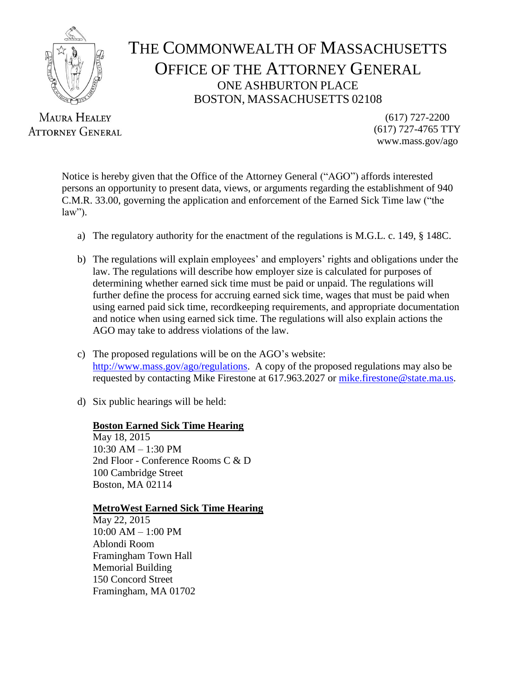

# THE COMMONWEALTH OF MASSACHUSETTS OFFICE OF THE ATTORNEY GENERAL ONE ASHBURTON PLACE BOSTON, MASSACHUSETTS 02108

**MAURA HEALEY ATTORNEY GENERAL** 

(617) 727-2200 (617) 727-4765 TTY www.mass.gov/ago

Notice is hereby given that the Office of the Attorney General ("AGO") affords interested persons an opportunity to present data, views, or arguments regarding the establishment of 940 C.M.R. 33.00, governing the application and enforcement of the Earned Sick Time law ("the law").

- a) The regulatory authority for the enactment of the regulations is M.G.L. c. 149, § 148C.
- b) The regulations will explain employees' and employers' rights and obligations under the law. The regulations will describe how employer size is calculated for purposes of determining whether earned sick time must be paid or unpaid. The regulations will further define the process for accruing earned sick time, wages that must be paid when using earned paid sick time, recordkeeping requirements, and appropriate documentation and notice when using earned sick time. The regulations will also explain actions the AGO may take to address violations of the law.
- c) The proposed regulations will be on the AGO's website: [http://www.mass.gov/ago/regulations.](http://www.mass.gov/ago/regulations) A copy of the proposed regulations may also be requested by contacting Mike Firestone at 617.963.2027 or [mike.firestone@state.ma.us.](mailto:mike.firestone@state.ma.us)
- d) Six public hearings will be held:

#### **Boston Earned Sick Time Hearing**

May 18, 2015 10:30 AM – 1:30 PM 2nd Floor - Conference Rooms C & D 100 Cambridge Street Boston, MA 02114

# **MetroWest Earned Sick Time Hearing**

May 22, 2015 10:00 AM – 1:00 PM Ablondi Room Framingham Town Hall Memorial Building 150 Concord Street Framingham, MA 01702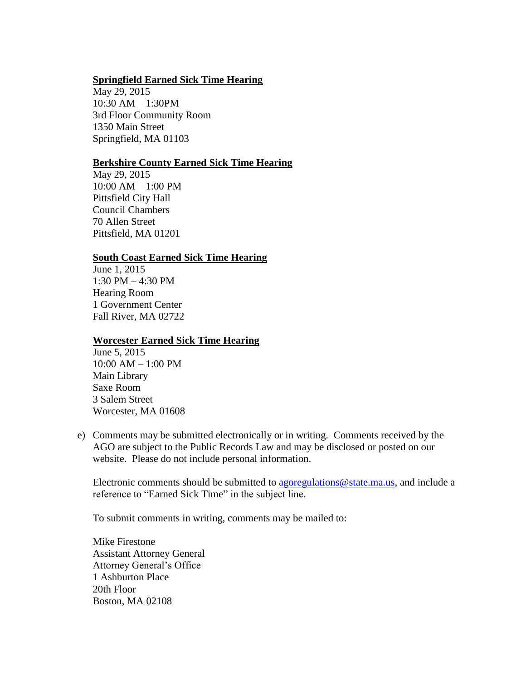# **Springfield Earned Sick Time Hearing**

May 29, 2015 10:30 AM – 1:30PM 3rd Floor Community Room 1350 Main Street Springfield, MA 01103

## **Berkshire County Earned Sick Time Hearing**

May 29, 2015 10:00 AM – 1:00 PM Pittsfield City Hall Council Chambers 70 Allen Street Pittsfield, MA 01201

## **South Coast Earned Sick Time Hearing**

June 1, 2015 1:30 PM – 4:30 PM Hearing Room 1 Government Center Fall River, MA 02722

#### **Worcester Earned Sick Time Hearing**

June 5, 2015 10:00 AM – 1:00 PM Main Library Saxe Room 3 Salem Street Worcester, MA 01608

e) Comments may be submitted electronically or in writing. Comments received by the AGO are subject to the Public Records Law and may be disclosed or posted on our website. Please do not include personal information.

Electronic comments should be submitted to [agoregulations@state.ma.us,](mailto:agoregulations@state.ma.us) and include a reference to "Earned Sick Time" in the subject line.

To submit comments in writing, comments may be mailed to:

Mike Firestone Assistant Attorney General Attorney General's Office 1 Ashburton Place 20th Floor Boston, MA 02108